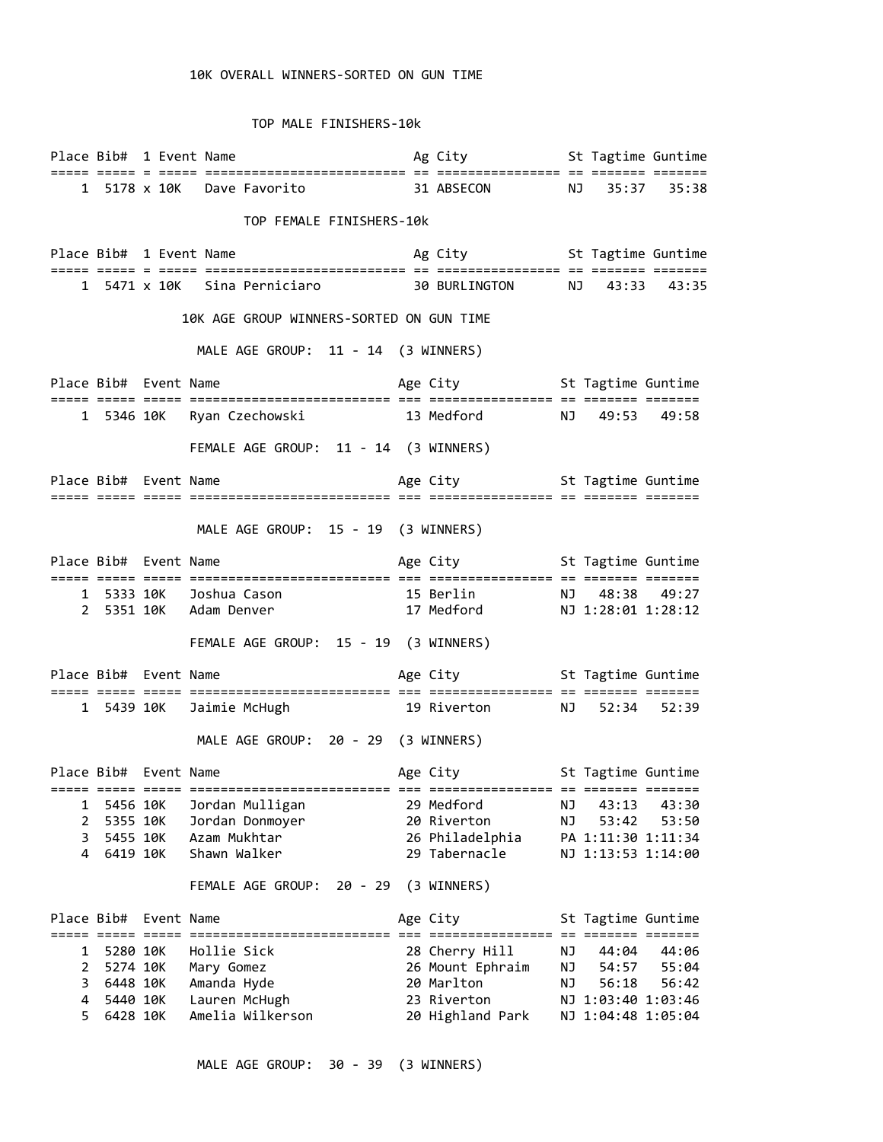## 10K OVERALL WINNERS-SORTED ON GUN TIME

TOP MALE FINISHERS-10k

|                                          |                       |  | Ag City <b>St Tagtime Guntime</b><br>Place Bib# 1 Event Name                                             |  |                                    |    |       |                    |
|------------------------------------------|-----------------------|--|----------------------------------------------------------------------------------------------------------|--|------------------------------------|----|-------|--------------------|
|                                          |                       |  |                                                                                                          |  |                                    |    |       |                    |
|                                          |                       |  | 1 5178 x 10K Dave Favorito 31 ABSECON NJ 35:37 35:38                                                     |  |                                    |    |       |                    |
|                                          |                       |  | TOP FEMALE FINISHERS-10k                                                                                 |  |                                    |    |       |                    |
|                                          |                       |  | Place Bib# 1 Event Name The Contract Ag City St Tagtime Guntime                                          |  |                                    |    |       |                    |
|                                          |                       |  | 1 5471 x 10K Sina Perniciaro 30 BURLINGTON NJ 43:33 43:35                                                |  |                                    |    |       |                    |
| 10K AGE GROUP WINNERS-SORTED ON GUN TIME |                       |  |                                                                                                          |  |                                    |    |       |                    |
|                                          |                       |  | MALE AGE GROUP: 11 - 14 (3 WINNERS)                                                                      |  |                                    |    |       |                    |
|                                          | Place Bib# Event Name |  |                                                                                                          |  | Age City <b>St Tagtime Guntime</b> |    |       |                    |
|                                          |                       |  | 1 5346 10K Ryan Czechowski 13 Medford NJ 49:53 49:58                                                     |  |                                    |    |       |                    |
|                                          |                       |  | FEMALE AGE GROUP: 11 - 14 (3 WINNERS)                                                                    |  |                                    |    |       |                    |
|                                          |                       |  | Place Bib# Event Name The State of Age City St Tagtime Guntime                                           |  |                                    |    |       |                    |
|                                          |                       |  |                                                                                                          |  |                                    |    |       |                    |
|                                          |                       |  | MALE AGE GROUP: 15 - 19 (3 WINNERS)                                                                      |  |                                    |    |       |                    |
|                                          |                       |  |                                                                                                          |  |                                    |    |       |                    |
|                                          |                       |  |                                                                                                          |  |                                    |    |       |                    |
|                                          |                       |  | 1 5333 10K Joshua Cason 15 Berlin NJ 48:38 49:27<br>2 5351 10K Adam Denver 17 Medford NJ 1:28:01 1:28:12 |  |                                    |    |       |                    |
|                                          |                       |  | FEMALE AGE GROUP: 15 - 19 (3 WINNERS)                                                                    |  |                                    |    |       |                    |
|                                          | Place Bib# Event Name |  |                                                                                                          |  | Age City <b>St Tagtime Guntime</b> |    |       |                    |
|                                          |                       |  | 1 5439 10K Jaimie McHugh 19 Riverton NJ 52:34 52:39                                                      |  |                                    |    |       |                    |
|                                          |                       |  | MALE AGE GROUP: 20 - 29 (3 WINNERS)                                                                      |  |                                    |    |       |                    |
|                                          | Place Bib# Event Name |  | Age City 5t Tagtime Guntime                                                                              |  |                                    |    |       |                    |
| 1                                        | 5456 10K              |  | Jordan Mulligan                                                                                          |  | 29 Medford                         | ΝJ | 43:13 | 43:30              |
| $\mathbf{2}$                             | 5355 10K              |  | Jordan Donmoyer                                                                                          |  | 20 Riverton                        | ΝJ | 53:42 | 53:50              |
| 3<br>4                                   | 5455 10K<br>6419 10K  |  | Azam Mukhtar<br>Shawn Walker                                                                             |  | 26 Philadelphia<br>29 Tabernacle   |    |       | PA 1:11:30 1:11:34 |
|                                          |                       |  |                                                                                                          |  |                                    |    |       | NJ 1:13:53 1:14:00 |
|                                          |                       |  | FEMALE AGE GROUP:<br>20 - 29                                                                             |  | (3 WINNERS)                        |    |       |                    |
|                                          | Place Bib# Event Name |  |                                                                                                          |  | Age City                           |    |       | St Tagtime Guntime |
| 1                                        | 5280 10K              |  | Hollie Sick                                                                                              |  | 28 Cherry Hill                     | ΝJ | 44:04 | 44:06              |
| $\overline{2}$                           | 5274 10K              |  | Mary Gomez                                                                                               |  | 26 Mount Ephraim                   | ΝJ | 54:57 | 55:04              |
| 3                                        | 6448 10K              |  | Amanda Hyde                                                                                              |  | 20 Marlton                         | ΝJ | 56:18 | 56:42              |
| 4                                        | 5440 10K              |  | Lauren McHugh                                                                                            |  | 23 Riverton                        |    |       | NJ 1:03:40 1:03:46 |
| 5.                                       | 6428 10K              |  | Amelia Wilkerson                                                                                         |  | 20 Highland Park                   |    |       | NJ 1:04:48 1:05:04 |

MALE AGE GROUP: 30 - 39 (3 WINNERS)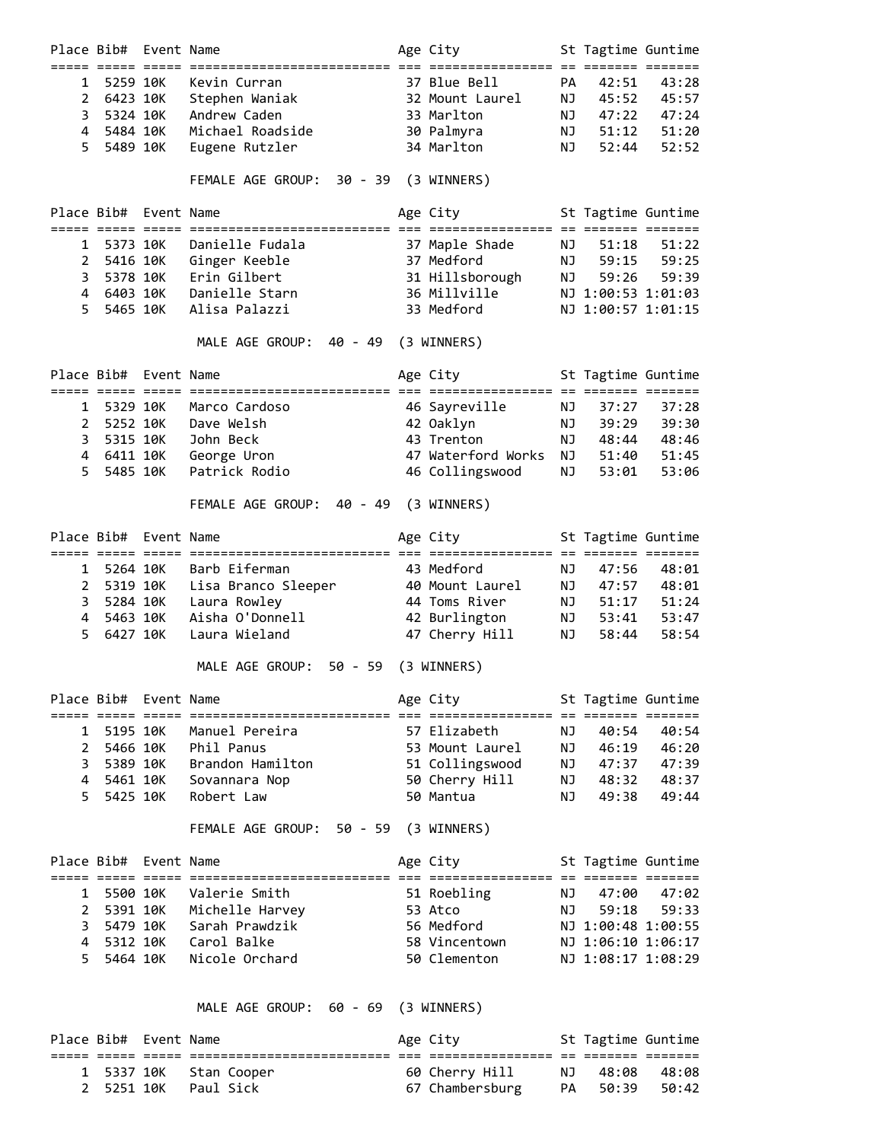|                       |            | Place Bib# Event Name |                                       | Age City            |    | St Tagtime Guntime |             |
|-----------------------|------------|-----------------------|---------------------------------------|---------------------|----|--------------------|-------------|
|                       |            | ===== =====           |                                       |                     |    |                    | ====        |
| 1                     | 5259 10K   |                       | Kevin Curran                          | 37 Blue Bell        | PA | 42:51              | 43:28       |
| $\overline{2}$        | 6423 10K   |                       | Stephen Waniak                        | 32 Mount Laurel     | NJ | 45:52              | 45:57       |
| 3                     | 5324 10K   |                       | Andrew Caden                          | 33 Marlton          | NJ | 47:22              | 47:24       |
| 4                     | 5484 10K   |                       | Michael Roadside                      | 30 Palmyra          | ΝJ | 51:12              | 51:20       |
| 5                     | 5489 10K   |                       | Eugene Rutzler                        | 34 Marlton          | NJ | 52:44              | 52:52       |
|                       |            |                       | FEMALE AGE GROUP: 30 - 39 (3 WINNERS) |                     |    |                    |             |
|                       |            | Place Bib# Event Name |                                       | Age City            |    | St Tagtime Guntime |             |
| 1                     | 5373 10K   |                       | Danielle Fudala                       | 37 Maple Shade      | NJ | 51:18              | 51:22       |
| $\mathbf{2}^{\prime}$ |            | 5416 10K              | Ginger Keeble                         | 37 Medford          | NJ | 59:15              | 59:25       |
| 3                     | 5378 10K   |                       | Erin Gilbert                          | 31 Hillsborough     | NJ | 59:26              | 59:39       |
| 4                     | 6403 10K   |                       | Danielle Starn                        | 36 Millville        |    | NJ 1:00:53 1:01:03 |             |
| 5.                    | 5465 10K   |                       | Alisa Palazzi                         | 33 Medford          |    | NJ 1:00:57 1:01:15 |             |
|                       |            |                       | MALE AGE GROUP:<br>40 - 49            | (3 WINNERS)         |    |                    |             |
|                       |            | Place Bib# Event Name |                                       | Age City            |    | St Tagtime Guntime |             |
| 1                     | 5329 10K   |                       | Marco Cardoso                         | 46 Sayreville       | NJ | 37:27              | 37:28       |
| $\overline{2}$        | 5252 10K   |                       | Dave Welsh                            | 42 Oaklyn           | ΝJ | 39:29              | 39:30       |
| 3                     | 5315 10K   |                       | John Beck                             | 43 Trenton          | NJ | 48:44              | 48:46       |
| 4                     |            | 6411 10K              | George Uron                           | 47 Waterford Works  | NJ | 51:40              | 51:45       |
| 5                     | 5485 10K   |                       | Patrick Rodio                         | 46 Collingswood     | NJ | 53:01              | 53:06       |
|                       |            |                       |                                       |                     |    |                    |             |
|                       |            |                       | FEMALE AGE GROUP:                     | 40 - 49 (3 WINNERS) |    |                    |             |
|                       |            | Place Bib# Event Name |                                       | Age City            |    | St Tagtime Guntime |             |
|                       |            |                       |                                       |                     |    |                    |             |
| 1                     | 5264 10K   |                       | Barb Eiferman                         | 43 Medford          | NJ | 47:56              | 48:01       |
| $\mathbf{2}$          |            | 5319 10K              | Lisa Branco Sleeper                   | 40 Mount Laurel     | NJ | 47:57              | 48:01       |
| 3                     | 5284 10K   |                       | Laura Rowley                          | 44 Toms River       | NJ | 51:17              | 51:24       |
| 4                     | 5463 10K   |                       | Aisha O'Donnell                       | 42 Burlington       | NJ | 53:41              | 53:47       |
| 5                     | 6427 10K   |                       | Laura Wieland                         | 47 Cherry Hill      | NJ | 58:44              | 58:54       |
|                       |            |                       | MALE AGE GROUP: 50 - 59               | (3 WINNERS)         |    |                    |             |
|                       |            | Place Bib# Event Name |                                       | Age City            |    | St Tagtime Guntime |             |
| 1                     | 5195 10K   |                       | Manuel Pereira                        | 57 Elizabeth        | ΝJ | 40:54              | 40:54       |
| $\mathbf{2}^{\prime}$ | 5466 10K   |                       | Phil Panus                            | 53 Mount Laurel     | NJ | 46:19              | 46:20       |
| 3                     | 5389 10K   |                       | Brandon Hamilton                      | 51 Collingswood     | NJ | 47:37              | 47:39       |
| 4                     |            | 5461 10K              | Sovannara Nop                         | 50 Cherry Hill      | NJ |                    | 48:32 48:37 |
| 5                     | 5425 10K   |                       | Robert Law                            | 50 Mantua           | NJ | 49:38              | 49:44       |
|                       |            |                       | FEMALE AGE GROUP: 50 - 59 (3 WINNERS) |                     |    |                    |             |
|                       |            | Place Bib# Event Name |                                       | Age City            |    | St Tagtime Guntime |             |
| 1                     | 5500 10K   |                       | Valerie Smith                         | 51 Roebling         | NJ | 47:00              | 47:02       |
| 2                     |            | 5391 10K              | Michelle Harvey                       | 53 Atco             | NJ | 59:18              | 59:33       |
| 3                     |            | 5479 10K              | Sarah Prawdzik                        | 56 Medford          |    | NJ 1:00:48 1:00:55 |             |
| 4                     | 5312 10K   |                       | Carol Balke                           | 58 Vincentown       |    | NJ 1:06:10 1:06:17 |             |
| 5.                    | 5464 10K   |                       | Nicole Orchard                        | 50 Clementon        |    | NJ 1:08:17 1:08:29 |             |
|                       |            |                       | MALE AGE GROUP: 60 - 69               | (3 WINNERS)         |    |                    |             |
|                       |            |                       |                                       |                     |    |                    |             |
|                       |            | Place Bib# Event Name |                                       | Age City            |    | St Tagtime Guntime |             |
| 1                     | 5337 10K   |                       | Stan Cooper                           | 60 Cherry Hill      | NJ |                    | 48:08 48:08 |
|                       | 2 5251 10K |                       | Paul Sick                             | 67 Chambersburg     | PA | 50:39              | 50:42       |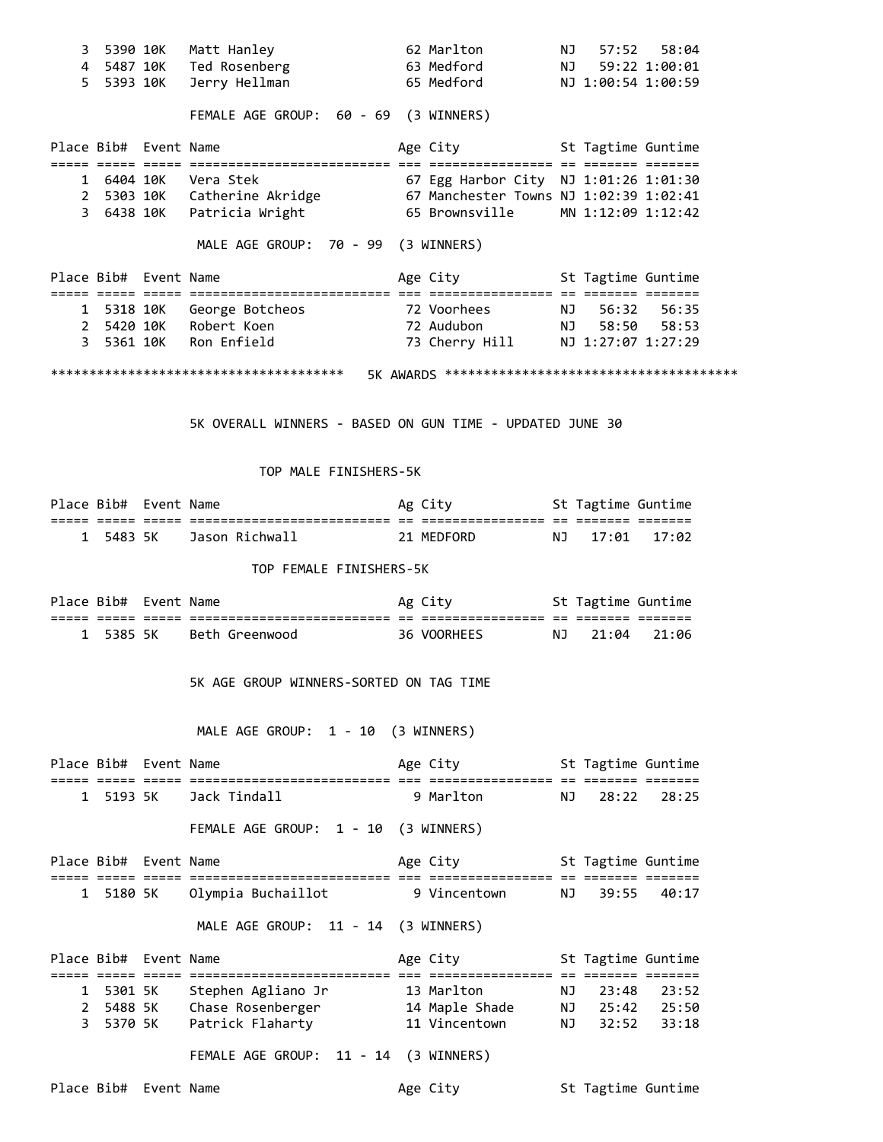| 3<br>4 | 5390 10K              |         | Matt Hanley<br>5487 10K Ted Rosenberg                                                                                                                       | 62 Marlton<br><b>NJ</b><br>63 Medford                                                                      | NJ   | 57:52              | 58:04<br>59:22 1:00:01 |
|--------|-----------------------|---------|-------------------------------------------------------------------------------------------------------------------------------------------------------------|------------------------------------------------------------------------------------------------------------|------|--------------------|------------------------|
| 5.     | 5393 10K              |         | Jerry Hellman                                                                                                                                               | 65 Medford                                                                                                 |      | NJ 1:00:54 1:00:59 |                        |
|        |                       |         | FEMALE AGE GROUP: 60 - 69 (3 WINNERS)                                                                                                                       |                                                                                                            |      |                    |                        |
|        | Place Bib# Event Name |         |                                                                                                                                                             | Age City <b>St Tagtime Guntime</b>                                                                         |      |                    |                        |
|        |                       |         | 1 6404 10K Vera Stek 67 Egg Harbor City NJ 1:01:26 1:01:30<br>2 5303 10K Catherine Akridge 67 Manchester Towns NJ 1:02:39 1:02:41                           |                                                                                                            |      |                    |                        |
|        |                       |         |                                                                                                                                                             |                                                                                                            |      |                    |                        |
|        |                       |         | 3 6438 10K Patricia Wright                                                                                                                                  | 65 Brownsville MN 1:12:09 1:12:42                                                                          |      |                    |                        |
|        |                       |         | MALE AGE GROUP: 70 - 99 (3 WINNERS)                                                                                                                         |                                                                                                            |      |                    |                        |
|        | Place Bib# Event Name |         |                                                                                                                                                             | Age City <b>St Tagtime Guntime</b>                                                                         |      |                    |                        |
|        |                       |         | 1 5318 10K George Botcheos                  72 Voorhees           NJ 56:32 56:35<br>2 5420 10K Robert Koen                72 Audubon         NJ 58:50 58:53 |                                                                                                            |      |                    |                        |
|        |                       |         |                                                                                                                                                             |                                                                                                            |      |                    |                        |
| 3      |                       |         | 5361 10K Ron Enfield                                                                                                                                        | 73 Cherry Hill NJ 1:27:07 1:27:29                                                                          |      |                    |                        |
|        |                       |         | 5K OVERALL WINNERS - BASED ON GUN TIME - UPDATED JUNE 30<br>TOP MALE FINISHERS-5K                                                                           |                                                                                                            |      |                    |                        |
|        | Place Bib# Event Name |         |                                                                                                                                                             | Ag City 5t Tagtime Guntime                                                                                 |      |                    |                        |
|        |                       |         |                                                                                                                                                             |                                                                                                            |      |                    |                        |
| 1      |                       |         | 5483 5K Jason Richwall                                                                                                                                      | 21 MEDFORD                                                                                                 | NJ   | 17:01              | 17:02                  |
|        |                       |         | TOP FEMALE FINISHERS-5K                                                                                                                                     |                                                                                                            |      |                    |                        |
|        | Place Bib# Event Name |         |                                                                                                                                                             | Ag City 5t Tagtime Guntime                                                                                 |      |                    |                        |
| 1      |                       | 5385 5K | Beth Greenwood <b>Beth</b> Greenwood                                                                                                                        | 36 VOORHEES                                                                                                | NJ   | 21:04              | 21:06                  |
|        |                       |         | 5K AGE GROUP WINNERS-SORTED ON TAG TIME<br>MALE AGE GROUP: 1 - 10 (3 WINNERS)                                                                               |                                                                                                            |      |                    |                        |
|        | Place Bib# Event Name |         |                                                                                                                                                             | Age City <b>Show Common Common Common Common Common Common Common Common Common Common Common Common C</b> |      | St Tagtime Guntime |                        |
| 1      | 5193 5K               |         | Jack Tindall                                                                                                                                                | 9 Marlton                                                                                                  | NJ   | 28:22              | 28:25                  |
|        |                       |         | FEMALE AGE GROUP: 1 - 10 (3 WINNERS)                                                                                                                        |                                                                                                            |      |                    |                        |
|        | Place Bib# Event Name |         |                                                                                                                                                             | Age City <b>St Tagtime Guntime</b>                                                                         |      |                    |                        |
| 1      | 5180 5K               |         | Olympia Buchaillot                                                                                                                                          | 9 Vincentown                                                                                               | NJ 1 | 39:55              | 40:17                  |
|        |                       |         | MALE AGE GROUP: 11 - 14 (3 WINNERS)                                                                                                                         |                                                                                                            |      |                    |                        |
|        | Place Bib# Event Name |         |                                                                                                                                                             | Age City 5t Tagtime Guntime                                                                                |      |                    |                        |
| 1      |                       | 5301 5K | Stephen Agliano Jr                                                                                                                                          | 13 Marlton                                                                                                 | NJ   | 23:48              | 23:52                  |
| 2      |                       |         | 5488 5K Chase Rosenberger                                                                                                                                   | 14 Maple Shade NJ 25:42 25:50                                                                              |      |                    |                        |
| 3      |                       |         | 5370 5K Patrick Flaharty 11 Vincentown                                                                                                                      |                                                                                                            | NJ   | 32:52              | 33:18                  |
|        |                       |         | FEMALE AGE GROUP: 11 - 14 (3 WINNERS)                                                                                                                       |                                                                                                            |      |                    |                        |
|        | Place Bib# Event Name |         |                                                                                                                                                             | Age City                                                                                                   |      | St Tagtime Guntime |                        |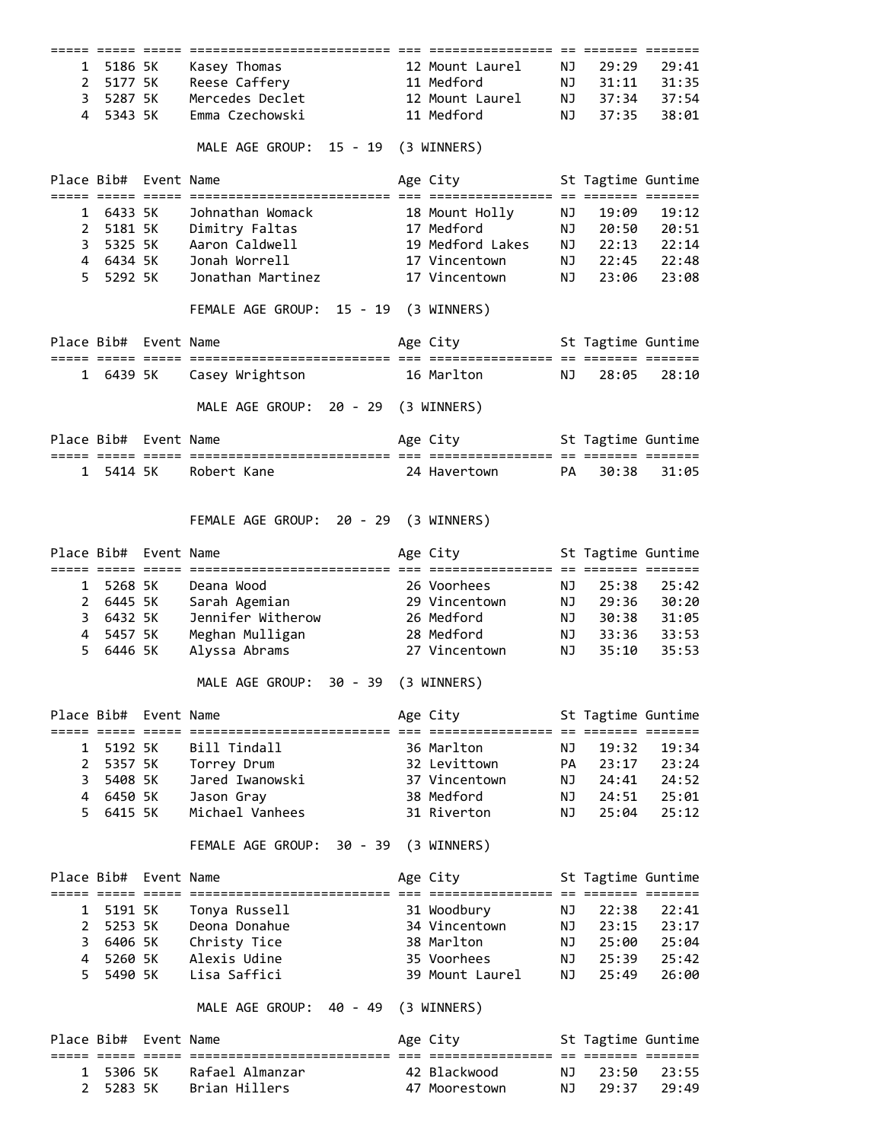| 1                          | 5186 5K               | Kasey Thomas                          | 12 Mount Laurel                                     | ΝJ       | 29:29              | 29:41          |
|----------------------------|-----------------------|---------------------------------------|-----------------------------------------------------|----------|--------------------|----------------|
| $\mathbf{2}^{\prime}$      | 5177 5K               | Reese Caffery                         | 11 Medford                                          | NJ       | 31:11              | 31:35          |
| 3                          | 5287 5K               | Mercedes Declet                       | 12 Mount Laurel                                     | NJ       | 37:34              | 37:54          |
| 4                          | 5343 5K               | Emma Czechowski                       | 11 Medford                                          | NJ       | 37:35              | 38:01          |
|                            |                       |                                       |                                                     |          |                    |                |
|                            |                       | MALE AGE GROUP: 15 - 19 (3 WINNERS)   |                                                     |          |                    |                |
|                            | Place Bib# Event Name |                                       | Age City                                            |          | St Tagtime Guntime |                |
| 1                          | 6433 5K               | Johnathan Womack                      | 18 Mount Holly                                      | ΝJ       | 19:09              | 19:12          |
| $\mathbf{2}^{\prime}$      | 5181 5K               | Dimitry Faltas                        | 17 Medford                                          | NJ       | 20:50              | 20:51          |
| 3                          | 5325 5K               | Aaron Caldwell                        | 19 Medford Lakes                                    | NJ       | 22:13              | 22:14          |
|                            | 4 6434 5K             | Jonah Worrell                         | 17 Vincentown                                       | NJ       | 22:45              | 22:48          |
| 5.                         | 5292 5K               | Jonathan Martinez                     | 17 Vincentown                                       | NJ       | 23:06              | 23:08          |
|                            |                       |                                       |                                                     |          |                    |                |
|                            |                       | FEMALE AGE GROUP: 15 - 19 (3 WINNERS) |                                                     |          |                    |                |
|                            | Place Bib# Event Name |                                       | Age City                                            |          | St Tagtime Guntime |                |
|                            |                       |                                       |                                                     |          |                    |                |
|                            | 1 6439 5K             | Casey Wrightson                       | 16 Marlton                                          | ΝJ       | 28:05              | 28:10          |
|                            |                       | MALE AGE GROUP: 20 - 29 (3 WINNERS)   |                                                     |          |                    |                |
|                            | Place Bib# Event Name |                                       | Age City                                            |          | St Tagtime Guntime |                |
|                            | 1 5414 5K             | Robert Kane                           | 24 Havertown                                        | PA       | 30:38              | 31:05          |
|                            |                       |                                       |                                                     |          |                    |                |
|                            |                       | FEMALE AGE GROUP: 20 - 29 (3 WINNERS) |                                                     |          |                    |                |
|                            | Place Bib# Event Name |                                       | Age City                                            |          | St Tagtime Guntime |                |
| 1                          | 5268 5K               | Deana Wood                            | ================= == ======= =======<br>26 Voorhees | ΝJ       | 25:38              | 25:42          |
|                            |                       |                                       |                                                     |          |                    |                |
|                            |                       |                                       |                                                     |          |                    |                |
| $\mathbf{2}^{\prime}$      | 6445 5K               | Sarah Agemian                         | 29 Vincentown                                       | NJ       | 29:36              | 30:20          |
| 3                          | 6432 5K               | Jennifer Witherow                     | 26 Medford                                          | NJ       | 30:38              | 31:05          |
| 4                          | 5457 5K               | Meghan Mulligan<br>28 Medford         |                                                     | NJ       | 33:36              | 33:53          |
| 5                          | 6446 5K               | Alyssa Abrams                         | 27 Vincentown                                       | NJ       | 35:10              | 35:53          |
|                            |                       | MALE AGE GROUP: 30 - 39               | (3 WINNERS)                                         |          |                    |                |
|                            | Place Bib# Event Name |                                       | Age City                                            |          | St Tagtime Guntime |                |
|                            |                       |                                       |                                                     |          |                    |                |
| 1                          | 5192 5K               | Bill Tindall                          | 36 Marlton                                          | NJ       | 19:32              | 19:34          |
| $\overline{2}$             | 5357 5K               | Torrey Drum                           | 32 Levittown                                        | PA       | 23:17              | 23:24          |
| 3                          | 5408 5K               | Jared Iwanowski                       | 37 Vincentown                                       | NJ       | 24:41              | 24:52          |
| 4                          | 6450 5K               | Jason Gray                            | 38 Medford                                          | NJ       | 24:51              | 25:01          |
| 5.                         | 6415 5K               | Michael Vanhees                       | 31 Riverton                                         | NJ       | 25:04              | 25:12          |
|                            |                       | FEMALE AGE GROUP: 30 - 39 (3 WINNERS) |                                                     |          |                    |                |
|                            | Place Bib# Event Name |                                       | Age City                                            |          | St Tagtime Guntime |                |
|                            |                       |                                       |                                                     |          |                    |                |
| 1                          | 5191 5K               | Tonya Russell                         | 31 Woodbury                                         | NJ       | 22:38              | 22:41          |
| 2                          | 5253 5K               | Deona Donahue                         | 34 Vincentown                                       | NJ       | 23:15              | 23:17          |
| 3                          | 6406 5K               | Christy Tice                          | 38 Marlton                                          | NJ       | 25:00              | 25:04          |
| 4                          | 5260 5K               | Alexis Udine                          | 35 Voorhees                                         | NJ       | 25:39              | 25:42          |
| 5                          | 5490 5K               | Lisa Saffici                          | 39 Mount Laurel                                     | NJ       | 25:49              | 26:00          |
|                            |                       | MALE AGE GROUP: 40 - 49               | (3 WINNERS)                                         |          |                    |                |
|                            | Place Bib# Event Name |                                       | Age City                                            |          | St Tagtime Guntime |                |
|                            |                       |                                       |                                                     |          |                    |                |
| 1<br>$\mathbf{2}^{\prime}$ | 5306 5K<br>5283 5K    | Rafael Almanzar<br>Brian Hillers      | 42 Blackwood<br>47 Moorestown                       | NJ<br>NJ | 23:50<br>29:37     | 23:55<br>29:49 |